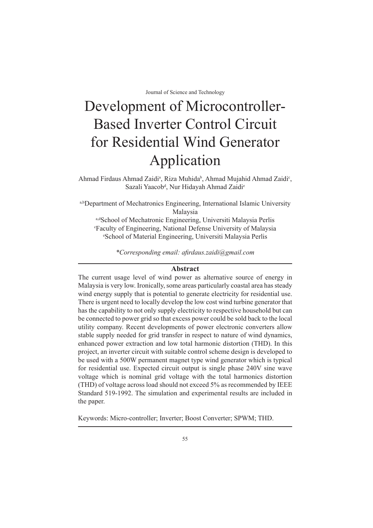# Development of Microcontroller-Based Inverter Control Circuit for Residential Wind Generator Application

Ahmad Firdaus Ahmad Zaidi<sup>a</sup>, Riza Muhida<sup>b</sup>, Ahmad Mujahid Ahmad Zaidi<sup>c</sup>, Sazali Yaacob<sup>d</sup>, Nur Hidayah Ahmad Zaidi<sup>e</sup>

a,bDepartment of Mechatronics Engineering, International Islamic University Malaysia

a,dSchool of Mechatronic Engineering, Universiti Malaysia Perlis c Faculty of Engineering, National Defense University of Malaysia e School of Material Engineering, Universiti Malaysia Perlis

*\*Corresponding email: afirdaus.zaidi@gmail.com*

# **Abstract**

The current usage level of wind power as alternative source of energy in Malaysia is very low. Ironically, some areas particularly coastal area has steady wind energy supply that is potential to generate electricity for residential use. There is urgent need to locally develop the low cost wind turbine generator that has the capability to not only supply electricity to respective household but can be connected to power grid so that excess power could be sold back to the local utility company. Recent developments of power electronic converters allow stable supply needed for grid transfer in respect to nature of wind dynamics, enhanced power extraction and low total harmonic distortion (THD). In this project, an inverter circuit with suitable control scheme design is developed to be used with a 500W permanent magnet type wind generator which is typical for residential use. Expected circuit output is single phase 240V sine wave voltage which is nominal grid voltage with the total harmonics distortion (THD) of voltage across load should not exceed 5% as recommended by IEEE Standard 519-1992. The simulation and experimental results are included in the paper.

Keywords: Micro-controller; Inverter; Boost Converter; SPWM; THD.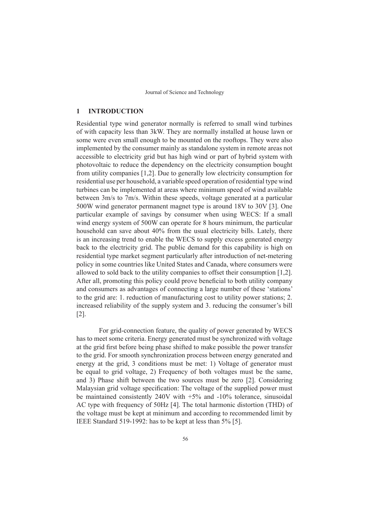## **1 INTRODUCTION**

Residential type wind generator normally is referred to small wind turbines of with capacity less than 3kW. They are normally installed at house lawn or some were even small enough to be mounted on the rooftops. They were also implemented by the consumer mainly as standalone system in remote areas not accessible to electricity grid but has high wind or part of hybrid system with photovoltaic to reduce the dependency on the electricity consumption bought from utility companies [1,2]. Due to generally low electricity consumption for residential use per household, a variable speed operation of residential type wind turbines can be implemented at areas where minimum speed of wind available between 3m/s to 7m/s. Within these speeds, voltage generated at a particular 500W wind generator permanent magnet type is around 18V to 30V [3]. One particular example of savings by consumer when using WECS: If a small wind energy system of 500W can operate for 8 hours minimum, the particular household can save about 40% from the usual electricity bills. Lately, there is an increasing trend to enable the WECS to supply excess generated energy back to the electricity grid. The public demand for this capability is high on residential type market segment particularly after introduction of net-metering policy in some countries like United States and Canada, where consumers were allowed to sold back to the utility companies to offset their consumption [1,2]. After all, promoting this policy could prove beneficial to both utility company and consumers as advantages of connecting a large number of these 'stations' to the grid are: 1. reduction of manufacturing cost to utility power stations; 2. increased reliability of the supply system and 3. reducing the consumer's bill [2].

For grid-connection feature, the quality of power generated by WECS has to meet some criteria. Energy generated must be synchronized with voltage at the grid first before being phase shifted to make possible the power transfer to the grid. For smooth synchronization process between energy generated and energy at the grid, 3 conditions must be met: 1) Voltage of generator must be equal to grid voltage, 2) Frequency of both voltages must be the same, and 3) Phase shift between the two sources must be zero [2]. Considering Malaysian grid voltage specification: The voltage of the supplied power must be maintained consistently 240V with +5% and -10% tolerance, sinusoidal AC type with frequency of 50Hz [4]. The total harmonic distortion (THD) of the voltage must be kept at minimum and according to recommended limit by IEEE Standard 519-1992: has to be kept at less than 5% [5].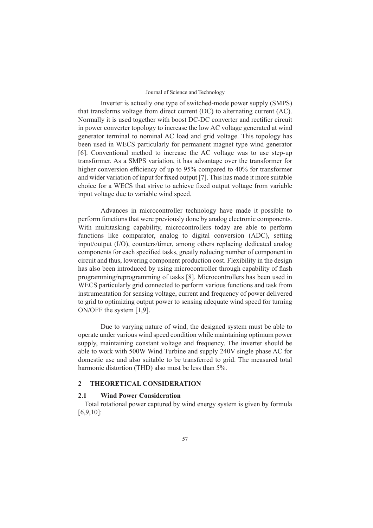Inverter is actually one type of switched-mode power supply (SMPS) that transforms voltage from direct current (DC) to alternating current (AC). Normally it is used together with boost DC-DC converter and rectifier circuit in power converter topology to increase the low AC voltage generated at wind generator terminal to nominal AC load and grid voltage. This topology has been used in WECS particularly for permanent magnet type wind generator [6]. Conventional method to increase the AC voltage was to use step-up transformer. As a SMPS variation, it has advantage over the transformer for higher conversion efficiency of up to 95% compared to 40% for transformer and wider variation of input for fixed output [7]. This has made it more suitable choice for a WECS that strive to achieve fixed output voltage from variable input voltage due to variable wind speed.

Advances in microcontroller technology have made it possible to perform functions that were previously done by analog electronic components. With multitasking capability, microcontrollers today are able to perform functions like comparator, analog to digital conversion (ADC), setting input/output (I/O), counters/timer, among others replacing dedicated analog components for each specified tasks, greatly reducing number of component in circuit and thus, lowering component production cost. Flexibility in the design has also been introduced by using microcontroller through capability of flash programming/reprogramming of tasks [8]. Microcontrollers has been used in WECS particularly grid connected to perform various functions and task from instrumentation for sensing voltage, current and frequency of power delivered to grid to optimizing output power to sensing adequate wind speed for turning ON/OFF the system [1,9].

Due to varying nature of wind, the designed system must be able to operate under various wind speed condition while maintaining optimum power supply, maintaining constant voltage and frequency. The inverter should be able to work with 500W Wind Turbine and supply 240V single phase AC for domestic use and also suitable to be transferred to grid. The measured total harmonic distortion (THD) also must be less than 5%.

## **2 THEORETICAL CONSIDERATION**

# **2.1 Wind Power Consideration**

Total rotational power captured by wind energy system is given by formula [6,9,10]: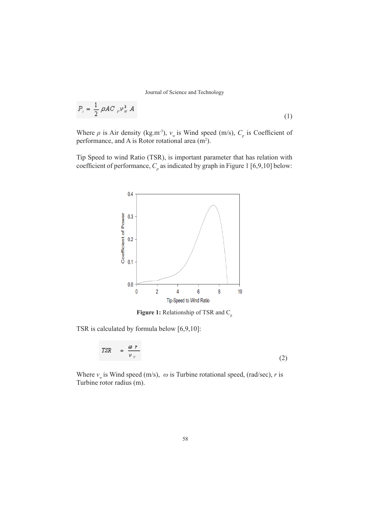$$
P_{i} = \frac{1}{2} \rho A C_{\rho} \nu_{\theta}^{3} A
$$
 (1)

Where  $\rho$  is Air density (kg.m<sup>-3</sup>),  $v_w$  is Wind speed (m/s),  $C_p$  is Coefficient of performance, and A is Rotor rotational area  $(m<sup>2</sup>)$ .

Tip Speed to wind Ratio (TSR), is important parameter that has relation with coefficient of performance,  $C_p$  as indicated by graph in Figure 1 [6,9,10] below:



**Figure 1:** Relationship of TSR and C<sub>p</sub>

TSR is calculated by formula below [6,9,10]:

$$
TSR = \frac{\omega r}{v_{w}}
$$
 (2)

Where  $v_w$  is Wind speed (m/s),  $\omega$  is Turbine rotational speed, (rad/sec), *r* is Turbine rotor radius (m).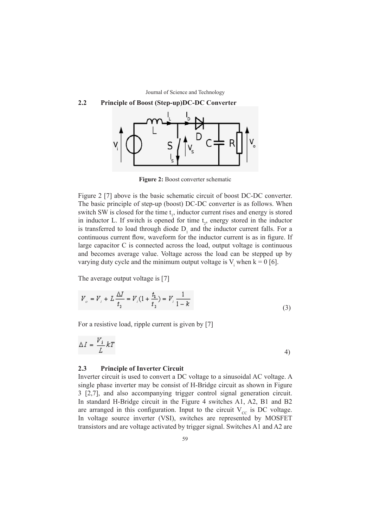# **2.2 Principle of Boost (Step-up)DC-DC Converter**



**Figure 2:** Boost converter schematic

Figure 2 [7] above is the basic schematic circuit of boost DC-DC converter. The basic principle of step-up (boost) DC-DC converter is as follows. When switch SW is closed for the time  $t_1$ , inductor current rises and energy is stored in inductor L. If switch is opened for time  $t_2$ , energy stored in the inductor is transferred to load through diode  $D_1$  and the inductor current falls. For a continuous current flow, waveform for the inductor current is as in figure. If large capacitor C is connected across the load, output voltage is continuous and becomes average value. Voltage across the load can be stepped up by varying duty cycle and the minimum output voltage is  $V_i$  when  $k = 0$  [6].

The average output voltage is [7]

$$
V_o = V_i + L \frac{\Delta I}{t_2} = V_i (1 + \frac{t_1}{t_2}) = V_i \frac{1}{1 - k}
$$
\n(3)

For a resistive load, ripple current is given by [7]

$$
\Delta I = \frac{V_i}{L} kT \tag{4}
$$

## **2.3 Principle of Inverter Circuit**

Inverter circuit is used to convert a DC voltage to a sinusoidal AC voltage. A single phase inverter may be consist of H-Bridge circuit as shown in Figure 3 [2,7], and also accompanying trigger control signal generation circuit. In standard H-Bridge circuit in the Figure 4 switches A1, A2, B1 and B2 are arranged in this configuration. Input to the circuit  $V_{\text{cc}}$  is DC voltage. In voltage source inverter (VSI), switches are represented by MOSFET transistors and are voltage activated by trigger signal. Switches A1 and A2 are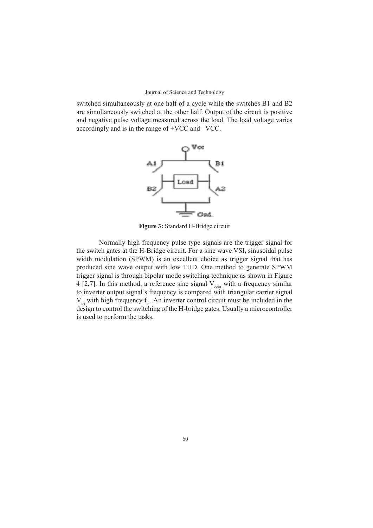switched simultaneously at one half of a cycle while the switches B1 and B2 are simultaneously switched at the other half. Output of the circuit is positive and negative pulse voltage measured across the load. The load voltage varies accordingly and is in the range of +VCC and –VCC.



**Figure 3:** Standard H-Bridge circuit

Normally high frequency pulse type signals are the trigger signal for the switch gates at the H-Bridge circuit. For a sine wave VSI, sinusoidal pulse width modulation (SPWM) is an excellent choice as trigger signal that has produced sine wave output with low THD. One method to generate SPWM trigger signal is through bipolar mode switching technique as shown in Figure 4 [2,7]. In this method, a reference sine signal  $V_{\text{cont}}$  with a frequency similar to inverter output signal's frequency is compared with triangular carrier signal  $V_{tri}$  with high frequency  $f_s$ . An inverter control circuit must be included in the design to control the switching of the H-bridge gates. Usually a microcontroller is used to perform the tasks.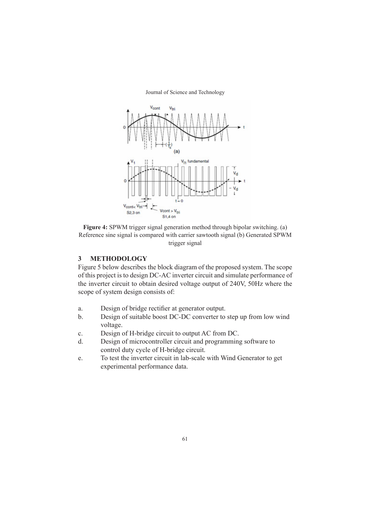



## **3 METHODOLOGY**

Figure 5 below describes the block diagram of the proposed system. The scope of this project is to design DC-AC inverter circuit and simulate performance of the inverter circuit to obtain desired voltage output of 240V, 50Hz where the scope of system design consists of:

- a. Design of bridge rectifier at generator output.
- b. Design of suitable boost DC-DC converter to step up from low wind voltage.
- c. Design of H-bridge circuit to output AC from DC.
- d. Design of microcontroller circuit and programming software to control duty cycle of H-bridge circuit.
- e. To test the inverter circuit in lab-scale with Wind Generator to get experimental performance data.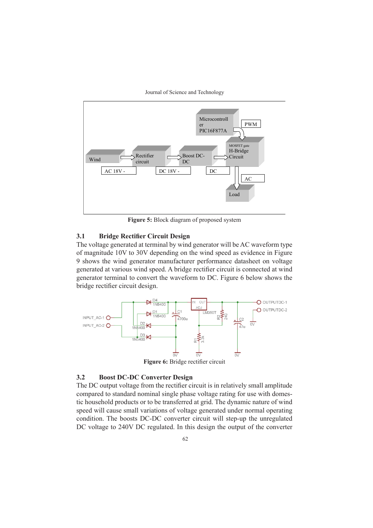



**Figure 5:** Block diagram of proposed system

# **3.1 Bridge Rectifier Circuit Design**

The voltage generated at terminal by wind generator will be AC waveform type of magnitude 10V to 30V depending on the wind speed as evidence in Figure 9 shows the wind generator manufacturer performance datasheet on voltage generated at various wind speed. A bridge rectifier circuit is connected at wind generator terminal to convert the waveform to DC. Figure 6 below shows the bridge rectifier circuit design.



Figure 6: Bridge rectifier circuit

## **3.2 Boost DC-DC Converter Design**

The DC output voltage from the rectifier circuit is in relatively small amplitude compared to standard nominal single phase voltage rating for use with domestic household products or to be transferred at grid. The dynamic nature of wind speed will cause small variations of voltage generated under normal operating condition. The boosts DC-DC converter circuit will step-up the unregulated DC voltage to 240V DC regulated. In this design the output of the converter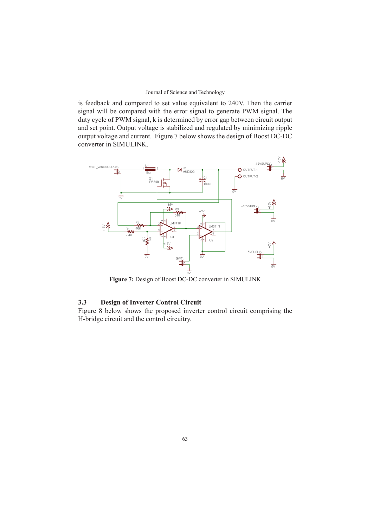is feedback and compared to set value equivalent to 240V. Then the carrier signal will be compared with the error signal to generate PWM signal. The duty cycle of PWM signal, k is determined by error gap between circuit output and set point. Output voltage is stabilized and regulated by minimizing ripple output voltage and current. Figure 7 below shows the design of Boost DC-DC converter in SIMULINK.



**Figure 7:** Design of Boost DC-DC converter in SIMULINK

# **3.3 Design of Inverter Control Circuit**

Figure 8 below shows the proposed inverter control circuit comprising the H-bridge circuit and the control circuitry.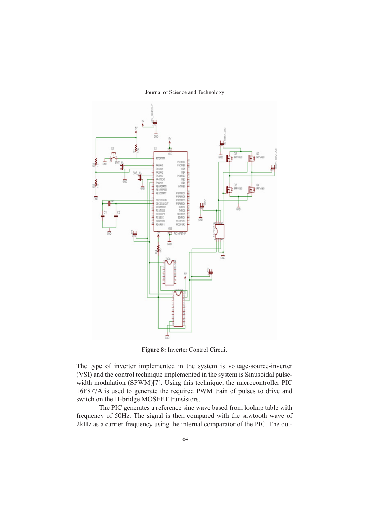

Journal of Science and Technology

**Figure 8:** Inverter Control Circuit

The type of inverter implemented in the system is voltage-source-inverter (VSI) and the control technique implemented in the system is Sinusoidal pulsewidth modulation (SPWM)[7]. Using this technique, the microcontroller PIC 16F877A is used to generate the required PWM train of pulses to drive and switch on the H-bridge MOSFET transistors.

The PIC generates a reference sine wave based from lookup table with frequency of 50Hz. The signal is then compared with the sawtooth wave of 2kHz as a carrier frequency using the internal comparator of the PIC. The out-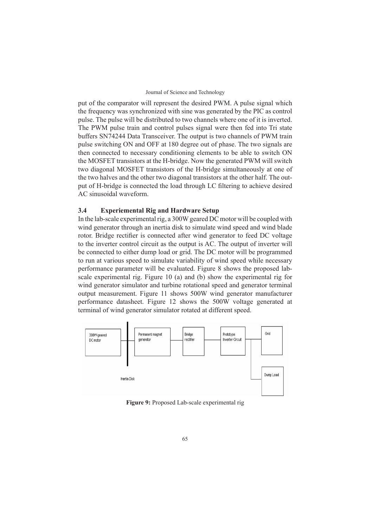put of the comparator will represent the desired PWM. A pulse signal which the frequency was synchronized with sine was generated by the PIC as control pulse. The pulse will be distributed to two channels where one of it is inverted. The PWM pulse train and control pulses signal were then fed into Tri state buffers SN74244 Data Transceiver. The output is two channels of PWM train pulse switching ON and OFF at 180 degree out of phase. The two signals are then connected to necessary conditioning elements to be able to switch ON the MOSFET transistors at the H-bridge. Now the generated PWM will switch two diagonal MOSFET transistors of the H-bridge simultaneously at one of the two halves and the other two diagonal transistors at the other half. The output of H-bridge is connected the load through LC filtering to achieve desired AC sinusoidal waveform.

# **3.4 Experiemental Rig and Hardware Setup**

In the lab-scale experimental rig, a 300W geared DC motor will be coupled with wind generator through an inertia disk to simulate wind speed and wind blade rotor. Bridge rectifier is connected after wind generator to feed DC voltage to the inverter control circuit as the output is AC. The output of inverter will be connected to either dump load or grid. The DC motor will be programmed to run at various speed to simulate variability of wind speed while necessary performance parameter will be evaluated. Figure 8 shows the proposed labscale experimental rig. Figure 10 (a) and (b) show the experimental rig for wind generator simulator and turbine rotational speed and generator terminal output measurement. Figure 11 shows 500W wind generator manufacturer performance datasheet. Figure 12 shows the 500W voltage generated at terminal of wind generator simulator rotated at different speed.



**Figure 9:** Proposed Lab-scale experimental rig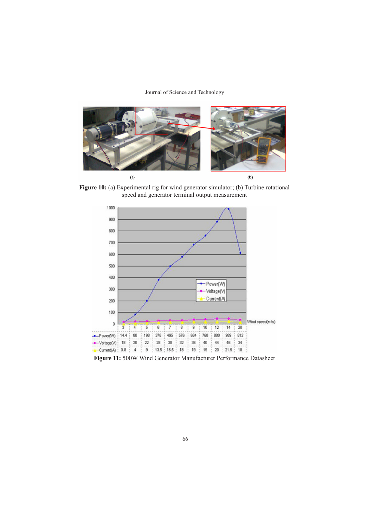

Figure 10: (a) Experimental rig for wind generator simulator; (b) Turbine rotational speed and generator terminal output measurement



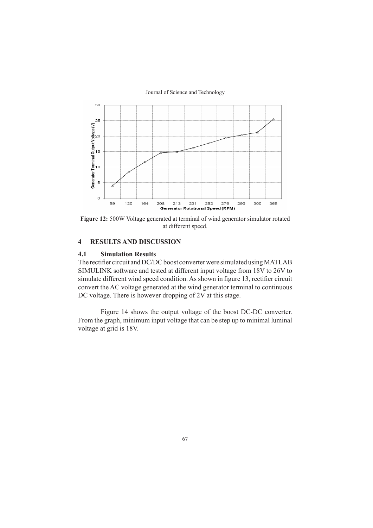Journal of Science and Technology



**Figure 12:** 500W Voltage generated at terminal of wind generator simulator rotated at different speed.

## **4 RESULTS AND DISCUSSION**

## **4.1 Simulation Results**

The rectifier circuit and DC/DC boost converter were simulated using MATLAB SIMULINK software and tested at different input voltage from 18V to 26V to simulate different wind speed condition. As shown in figure 13, rectifier circuit convert the AC voltage generated at the wind generator terminal to continuous DC voltage. There is however dropping of 2V at this stage.

Figure 14 shows the output voltage of the boost DC-DC converter. From the graph, minimum input voltage that can be step up to minimal luminal voltage at grid is 18V.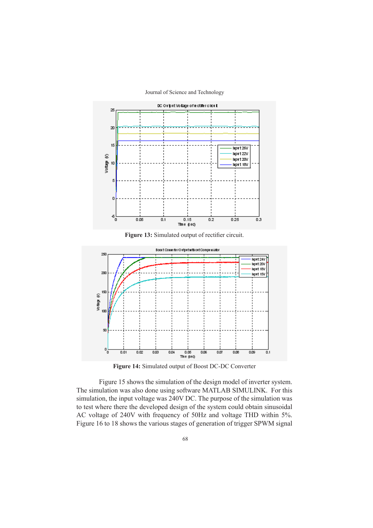

Journal of Science and Technology

**Figure 13:** Simulated output of rectifier circuit.



**Figure 14:** Simulated output of Boost DC-DC Converter

Figure 15 shows the simulation of the design model of inverter system. The simulation was also done using software MATLAB SIMULINK. For this simulation, the input voltage was 240V DC. The purpose of the simulation was to test where there the developed design of the system could obtain sinusoidal AC voltage of 240V with frequency of 50Hz and voltage THD within 5%. Figure 16 to 18 shows the various stages of generation of trigger SPWM signal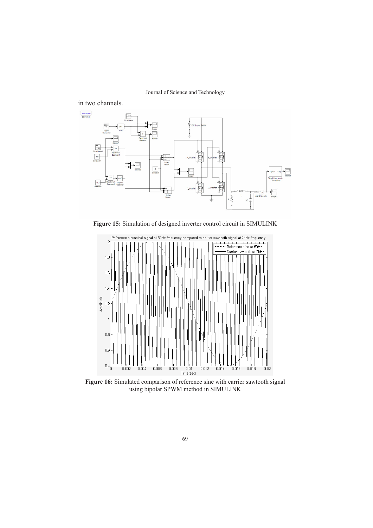



**Figure 15:** Simulation of designed inverter control circuit in SIMULINK



Figure 16: Simulated comparison of reference sine with carrier sawtooth signal using bipolar SPWM method in SIMULINK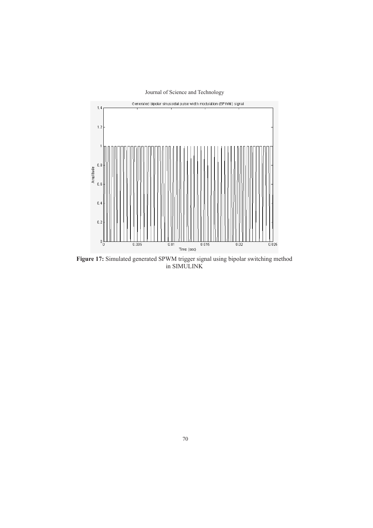

**Figure 17:** Simulated generated SPWM trigger signal using bipolar switching method in SIMULINK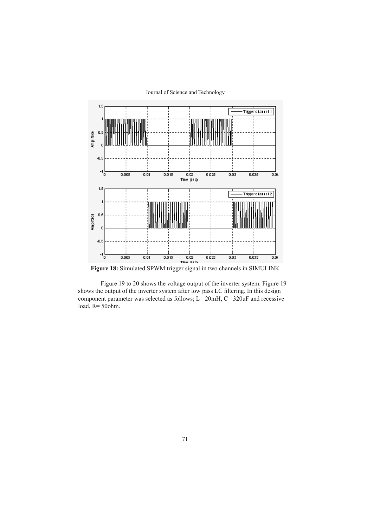



**Figure 18:** Simulated SPWM trigger signal in two channels in SIMULINK

Figure 19 to 20 shows the voltage output of the inverter system. Figure 19 shows the output of the inverter system after low pass LC filtering. In this design component parameter was selected as follows; L= 20mH, C= 320uF and recessive load, R= 50ohm.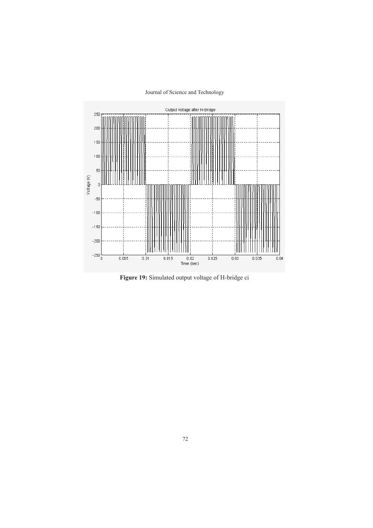

**Figure 19:** Simulated output voltage of H-bridge ci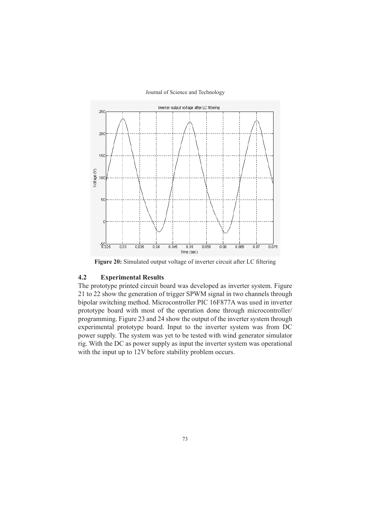

**Figure 20:** Simulated output voltage of inverter circuit after LC filtering

# **4.2 Experimental Results**

The prototype printed circuit board was developed as inverter system. Figure 21 to 22 show the generation of trigger SPWM signal in two channels through bipolar switching method. Microcontroller PIC 16F877A was used in inverter prototype board with most of the operation done through microcontroller/ programming. Figure 23 and 24 show the output of the inverter system through experimental prototype board. Input to the inverter system was from DC power supply. The system was yet to be tested with wind generator simulator rig. With the DC as power supply as input the inverter system was operational with the input up to 12V before stability problem occurs.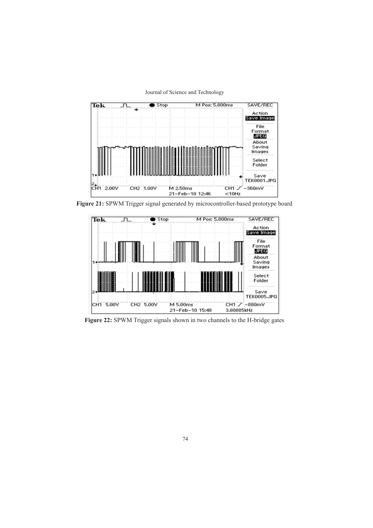

**Figure 21:** SPWM Trigger signal generated by microcontroller-based prototype board



**Figure 22:** SPWM Trigger signals shown in two channels to the H-bridge gates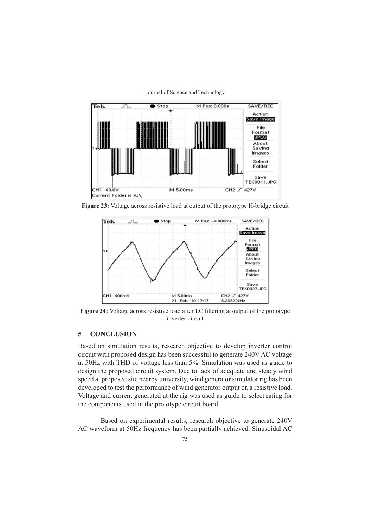

Journal of Science and Technology

**Figure 23:** Voltage across resistive load at output of the prototype H-bridge circuit



**Figure 24:** Voltage across resistive load after LC filtering at output of the prototype inverter circuit

# **5 CONCLUSION**

Based on simulation results, research objective to develop inverter control circuit with proposed design has been successful to generate 240V AC voltage at 50Hz with THD of voltage less than 5%. Simulation was used as guide to design the proposed circuit system. Due to lack of adequate and steady wind speed at proposed site nearby university, wind generator simulator rig has been developed to test the performance of wind generator output on a resistive load. Voltage and current generated at the rig was used as guide to select rating for the components used in the prototype circuit board.

Based on experimental results, research objective to generate 240V AC waveform at 50Hz frequency has been partially achieved. Sinusoidal AC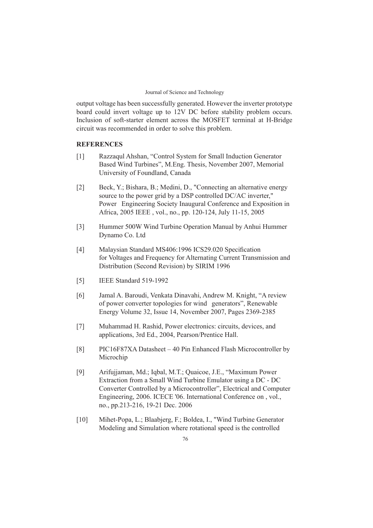output voltage has been successfully generated. However the inverter prototype board could invert voltage up to 12V DC before stability problem occurs. Inclusion of soft-starter element across the MOSFET terminal at H-Bridge circuit was recommended in order to solve this problem.

## **REFERENCES**

- [1] Razzaqul Ahshan, "Control System for Small Induction Generator Based Wind Turbines", M.Eng. Thesis, November 2007, Memorial University of Foundland, Canada
- [2] Beck, Y.; Bishara, B.; Medini, D., "Connecting an alternative energy source to the power grid by a DSP controlled DC/AC inverter," Power Engineering Society Inaugural Conference and Exposition in Africa, 2005 IEEE , vol., no., pp. 120-124, July 11-15, 2005
- [3] Hummer 500W Wind Turbine Operation Manual by Anhui Hummer Dynamo Co. Ltd
- [4] Malaysian Standard MS406:1996 ICS29.020 Specification for Voltages and Frequency for Alternating Current Transmission and Distribution (Second Revision) by SIRIM 1996
- [5] IEEE Standard 519-1992
- [6] Jamal A. Baroudi, Venkata Dinavahi, Andrew M. Knight, "A review of power converter topologies for wind generators", Renewable Energy Volume 32, Issue 14, November 2007, Pages 2369-2385
- [7] Muhammad H. Rashid, Power electronics: circuits, devices, and applications, 3rd Ed., 2004, Pearson/Prentice Hall.
- [8] PIC16F87XA Datasheet 40 Pin Enhanced Flash Microcontroller by Microchip
- [9] Arifujjaman, Md.; Iqbal, M.T.; Quaicoe, J.E., "Maximum Power Extraction from a Small Wind Turbine Emulator using a DC - DC Converter Controlled by a Microcontroller", Electrical and Computer Engineering, 2006. ICECE '06. International Conference on , vol., no., pp.213-216, 19-21 Dec. 2006
- [10] Mihet-Popa, L.; Blaabjerg, F.; Boldea, I., "Wind Turbine Generator Modeling and Simulation where rotational speed is the controlled